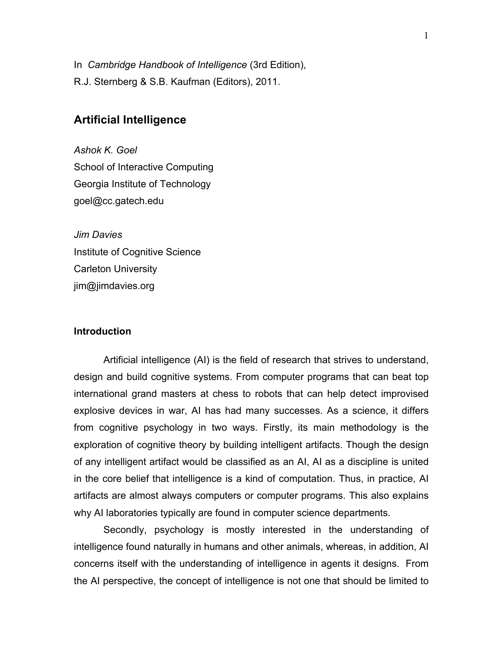In *Cambridge Handbook of Intelligence* (3rd Edition), R.J. Sternberg & S.B. Kaufman (Editors), 2011.

# **Artificial Intelligence**

*Ashok K. Goel* School of Interactive Computing Georgia Institute of Technology goel@cc.gatech.edu

*Jim Davies* Institute of Cognitive Science Carleton University jim@jimdavies.org

#### **Introduction**

Artificial intelligence (AI) is the field of research that strives to understand, design and build cognitive systems. From computer programs that can beat top international grand masters at chess to robots that can help detect improvised explosive devices in war, AI has had many successes. As a science, it differs from cognitive psychology in two ways. Firstly, its main methodology is the exploration of cognitive theory by building intelligent artifacts. Though the design of any intelligent artifact would be classified as an AI, AI as a discipline is united in the core belief that intelligence is a kind of computation. Thus, in practice, AI artifacts are almost always computers or computer programs. This also explains why AI laboratories typically are found in computer science departments.

Secondly, psychology is mostly interested in the understanding of intelligence found naturally in humans and other animals, whereas, in addition, AI concerns itself with the understanding of intelligence in agents it designs. From the AI perspective, the concept of intelligence is not one that should be limited to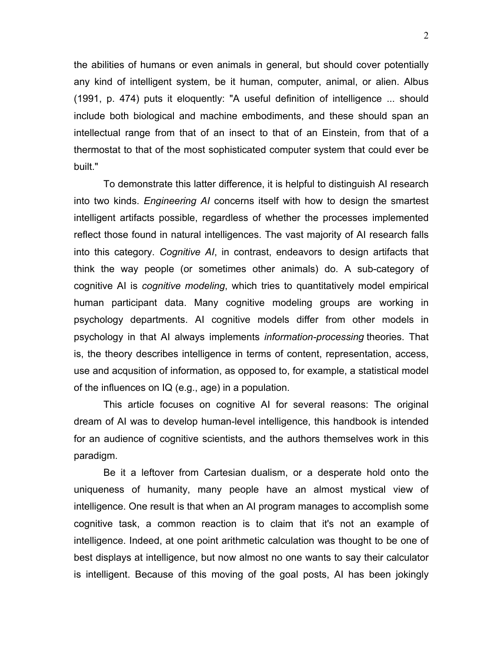the abilities of humans or even animals in general, but should cover potentially any kind of intelligent system, be it human, computer, animal, or alien. Albus (1991, p. 474) puts it eloquently: "A useful definition of intelligence ... should include both biological and machine embodiments, and these should span an intellectual range from that of an insect to that of an Einstein, from that of a thermostat to that of the most sophisticated computer system that could ever be built."

To demonstrate this latter difference, it is helpful to distinguish AI research into two kinds. *Engineering AI* concerns itself with how to design the smartest intelligent artifacts possible, regardless of whether the processes implemented reflect those found in natural intelligences. The vast majority of AI research falls into this category. *Cognitive AI*, in contrast, endeavors to design artifacts that think the way people (or sometimes other animals) do. A sub-category of cognitive AI is *cognitive modeling*, which tries to quantitatively model empirical human participant data. Many cognitive modeling groups are working in psychology departments. AI cognitive models differ from other models in psychology in that AI always implements *information-processing* theories. That is, the theory describes intelligence in terms of content, representation, access, use and acqusition of information, as opposed to, for example, a statistical model of the influences on IQ (e.g., age) in a population.

This article focuses on cognitive AI for several reasons: The original dream of AI was to develop human-level intelligence, this handbook is intended for an audience of cognitive scientists, and the authors themselves work in this paradigm.

Be it a leftover from Cartesian dualism, or a desperate hold onto the uniqueness of humanity, many people have an almost mystical view of intelligence. One result is that when an AI program manages to accomplish some cognitive task, a common reaction is to claim that it's not an example of intelligence. Indeed, at one point arithmetic calculation was thought to be one of best displays at intelligence, but now almost no one wants to say their calculator is intelligent. Because of this moving of the goal posts, AI has been jokingly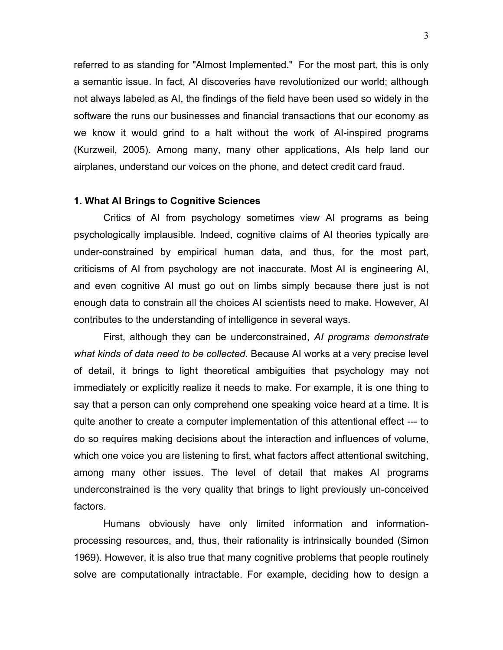referred to as standing for "Almost Implemented." For the most part, this is only a semantic issue. In fact, AI discoveries have revolutionized our world; although not always labeled as AI, the findings of the field have been used so widely in the software the runs our businesses and financial transactions that our economy as we know it would grind to a halt without the work of AI-inspired programs (Kurzweil, 2005). Among many, many other applications, AIs help land our airplanes, understand our voices on the phone, and detect credit card fraud.

## **1. What AI Brings to Cognitive Sciences**

Critics of AI from psychology sometimes view AI programs as being psychologically implausible. Indeed, cognitive claims of AI theories typically are under-constrained by empirical human data, and thus, for the most part, criticisms of AI from psychology are not inaccurate. Most AI is engineering AI, and even cognitive AI must go out on limbs simply because there just is not enough data to constrain all the choices AI scientists need to make. However, AI contributes to the understanding of intelligence in several ways.

First, although they can be underconstrained, *AI programs demonstrate what kinds of data need to be collected.* Because AI works at a very precise level of detail, it brings to light theoretical ambiguities that psychology may not immediately or explicitly realize it needs to make. For example, it is one thing to say that a person can only comprehend one speaking voice heard at a time. It is quite another to create a computer implementation of this attentional effect --- to do so requires making decisions about the interaction and influences of volume, which one voice you are listening to first, what factors affect attentional switching, among many other issues. The level of detail that makes AI programs underconstrained is the very quality that brings to light previously un-conceived factors.

Humans obviously have only limited information and informationprocessing resources, and, thus, their rationality is intrinsically bounded (Simon 1969). However, it is also true that many cognitive problems that people routinely solve are computationally intractable. For example, deciding how to design a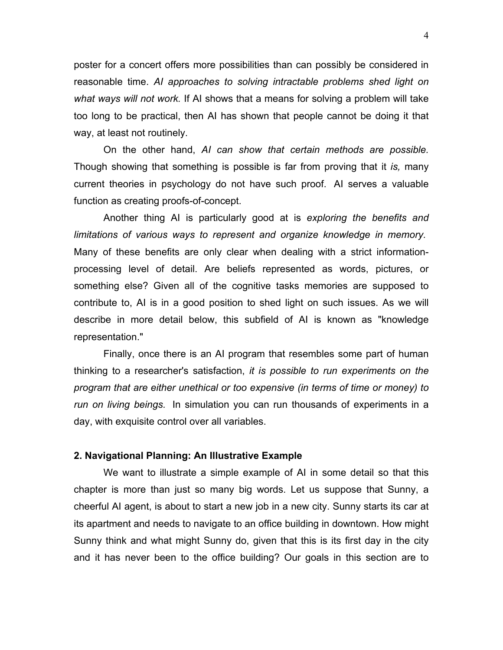poster for a concert offers more possibilities than can possibly be considered in reasonable time. *AI approaches to solving intractable problems shed light on what ways will not work.* If AI shows that a means for solving a problem will take too long to be practical, then AI has shown that people cannot be doing it that way, at least not routinely.

On the other hand, *AI can show that certain methods are possible.*  Though showing that something is possible is far from proving that it *is,* many current theories in psychology do not have such proof. AI serves a valuable function as creating proofs-of-concept.

Another thing AI is particularly good at is *exploring the benefits and limitations of various ways to represent and organize knowledge in memory.* Many of these benefits are only clear when dealing with a strict informationprocessing level of detail. Are beliefs represented as words, pictures, or something else? Given all of the cognitive tasks memories are supposed to contribute to, AI is in a good position to shed light on such issues. As we will describe in more detail below, this subfield of AI is known as "knowledge representation."

Finally, once there is an AI program that resembles some part of human thinking to a researcher's satisfaction, *it is possible to run experiments on the program that are either unethical or too expensive (in terms of time or money) to run on living beings.* In simulation you can run thousands of experiments in a day, with exquisite control over all variables.

## **2. Navigational Planning: An Illustrative Example**

We want to illustrate a simple example of AI in some detail so that this chapter is more than just so many big words. Let us suppose that Sunny, a cheerful AI agent, is about to start a new job in a new city. Sunny starts its car at its apartment and needs to navigate to an office building in downtown. How might Sunny think and what might Sunny do, given that this is its first day in the city and it has never been to the office building? Our goals in this section are to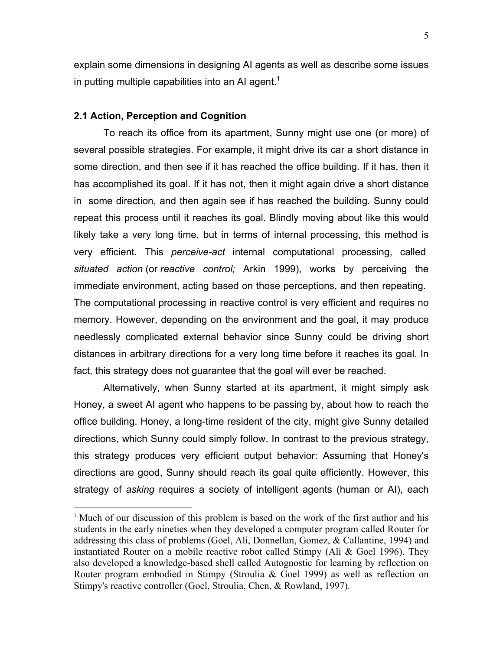explain some dimensions in designing AI agents as well as describe some issues in putting multiple capabilities into an AI agent.<sup>1</sup>

### **2.1 Action, Perception and Cognition**

To reach its office from its apartment, Sunny might use one (or more) of several possible strategies. For example, it might drive its car a short distance in some direction, and then see if it has reached the office building. If it has, then it has accomplished its goal. If it has not, then it might again drive a short distance in some direction, and then again see if has reached the building. Sunny could repeat this process until it reaches its goal. Blindly moving about like this would likely take a very long time, but in terms of internal processing, this method is very efficient. This *perceive-act* internal computational processing, called *situated action* (or *reactive control;* Arkin 1999), works by perceiving the immediate environment, acting based on those perceptions, and then repeating. The computational processing in reactive control is very efficient and requires no memory. However, depending on the environment and the goal, it may produce needlessly complicated external behavior since Sunny could be driving short distances in arbitrary directions for a very long time before it reaches its goal. In fact, this strategy does not guarantee that the goal will ever be reached.

Alternatively, when Sunny started at its apartment, it might simply ask Honey, a sweet AI agent who happens to be passing by, about how to reach the office building. Honey, a long-time resident of the city, might give Sunny detailed directions, which Sunny could simply follow. In contrast to the previous strategy, this strategy produces very efficient output behavior: Assuming that Honey's directions are good, Sunny should reach its goal quite efficiently. However, this strategy of *asking* requires a society of intelligent agents (human or AI), each

<sup>&</sup>lt;sup>1</sup> Much of our discussion of this problem is based on the work of the first author and his students in the early nineties when they developed a computer program called Router for addressing this class of problems (Goel, Ali, Donnellan, Gomez, & Callantine, 1994) and instantiated Router on a mobile reactive robot called Stimpy (Ali & Goel 1996). They also developed a knowledge-based shell called Autognostic for learning by reflection on Router program embodied in Stimpy (Stroulia & Goel 1999) as well as reflection on Stimpy's reactive controller (Goel, Stroulia, Chen, & Rowland, 1997).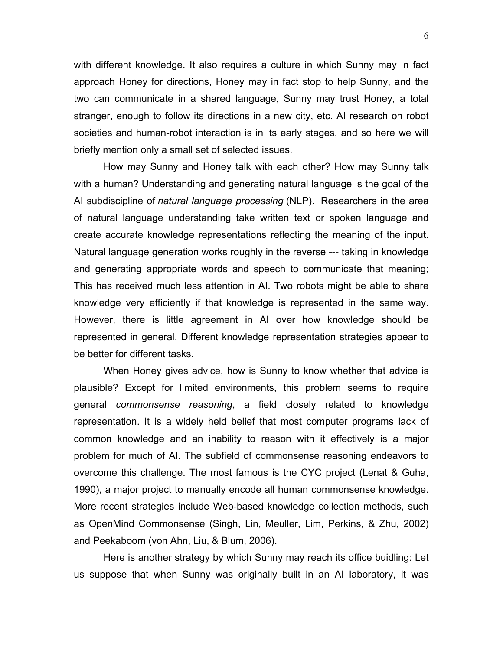with different knowledge. It also requires a culture in which Sunny may in fact approach Honey for directions, Honey may in fact stop to help Sunny, and the two can communicate in a shared language, Sunny may trust Honey, a total stranger, enough to follow its directions in a new city, etc. AI research on robot societies and human-robot interaction is in its early stages, and so here we will briefly mention only a small set of selected issues.

How may Sunny and Honey talk with each other? How may Sunny talk with a human? Understanding and generating natural language is the goal of the AI subdiscipline of *natural language processing* (NLP). Researchers in the area of natural language understanding take written text or spoken language and create accurate knowledge representations reflecting the meaning of the input. Natural language generation works roughly in the reverse --- taking in knowledge and generating appropriate words and speech to communicate that meaning; This has received much less attention in AI. Two robots might be able to share knowledge very efficiently if that knowledge is represented in the same way. However, there is little agreement in AI over how knowledge should be represented in general. Different knowledge representation strategies appear to be better for different tasks.

When Honey gives advice, how is Sunny to know whether that advice is plausible? Except for limited environments, this problem seems to require general *commonsense reasoning*, a field closely related to knowledge representation. It is a widely held belief that most computer programs lack of common knowledge and an inability to reason with it effectively is a major problem for much of AI. The subfield of commonsense reasoning endeavors to overcome this challenge. The most famous is the CYC project (Lenat & Guha, 1990), a major project to manually encode all human commonsense knowledge. More recent strategies include Web-based knowledge collection methods, such as OpenMind Commonsense (Singh, Lin, Meuller, Lim, Perkins, & Zhu, 2002) and Peekaboom (von Ahn, Liu, & Blum, 2006).

Here is another strategy by which Sunny may reach its office buidling: Let us suppose that when Sunny was originally built in an AI laboratory, it was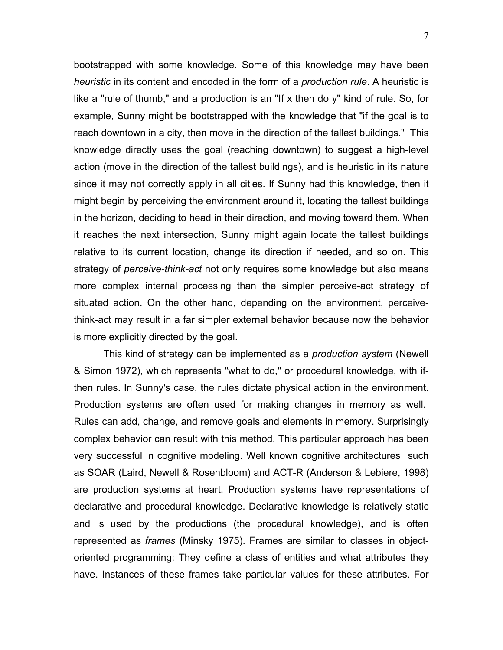bootstrapped with some knowledge. Some of this knowledge may have been *heuristic* in its content and encoded in the form of a *production rule*. A heuristic is like a "rule of thumb," and a production is an "If x then do y" kind of rule. So, for example, Sunny might be bootstrapped with the knowledge that "if the goal is to reach downtown in a city, then move in the direction of the tallest buildings." This knowledge directly uses the goal (reaching downtown) to suggest a high-level action (move in the direction of the tallest buildings), and is heuristic in its nature since it may not correctly apply in all cities. If Sunny had this knowledge, then it might begin by perceiving the environment around it, locating the tallest buildings in the horizon, deciding to head in their direction, and moving toward them. When it reaches the next intersection, Sunny might again locate the tallest buildings relative to its current location, change its direction if needed, and so on. This strategy of *perceive-think-act* not only requires some knowledge but also means more complex internal processing than the simpler perceive-act strategy of situated action. On the other hand, depending on the environment, perceivethink-act may result in a far simpler external behavior because now the behavior is more explicitly directed by the goal.

This kind of strategy can be implemented as a *production system* (Newell & Simon 1972), which represents "what to do," or procedural knowledge, with ifthen rules. In Sunny's case, the rules dictate physical action in the environment. Production systems are often used for making changes in memory as well. Rules can add, change, and remove goals and elements in memory. Surprisingly complex behavior can result with this method. This particular approach has been very successful in cognitive modeling. Well known cognitive architectures such as SOAR (Laird, Newell & Rosenbloom) and ACT-R (Anderson & Lebiere, 1998) are production systems at heart. Production systems have representations of declarative and procedural knowledge. Declarative knowledge is relatively static and is used by the productions (the procedural knowledge), and is often represented as *frames* (Minsky 1975). Frames are similar to classes in objectoriented programming: They define a class of entities and what attributes they have. Instances of these frames take particular values for these attributes. For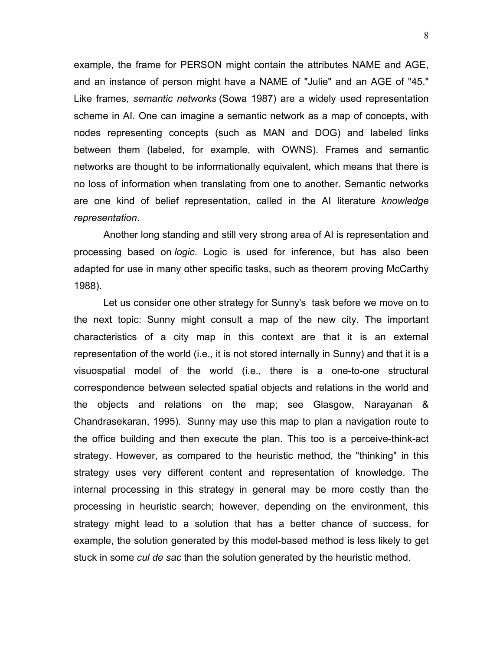example, the frame for PERSON might contain the attributes NAME and AGE, and an instance of person might have a NAME of "Julie" and an AGE of "45." Like frames, *semantic networks* (Sowa 1987) are a widely used representation scheme in AI. One can imagine a semantic network as a map of concepts, with nodes representing concepts (such as MAN and DOG) and labeled links between them (labeled, for example, with OWNS). Frames and semantic networks are thought to be informationally equivalent, which means that there is no loss of information when translating from one to another. Semantic networks are one kind of belief representation, called in the AI literature *knowledge representation*.

Another long standing and still very strong area of AI is representation and processing based on *logic*. Logic is used for inference, but has also been adapted for use in many other specific tasks, such as theorem proving McCarthy 1988).

Let us consider one other strategy for Sunny's task before we move on to the next topic: Sunny might consult a map of the new city. The important characteristics of a city map in this context are that it is an external representation of the world (i.e., it is not stored internally in Sunny) and that it is a visuospatial model of the world (i.e., there is a one-to-one structural correspondence between selected spatial objects and relations in the world and the objects and relations on the map; see Glasgow, Narayanan & Chandrasekaran, 1995). Sunny may use this map to plan a navigation route to the office building and then execute the plan. This too is a perceive-think-act strategy. However, as compared to the heuristic method, the "thinking" in this strategy uses very different content and representation of knowledge. The internal processing in this strategy in general may be more costly than the processing in heuristic search; however, depending on the environment, this strategy might lead to a solution that has a better chance of success, for example, the solution generated by this model-based method is less likely to get stuck in some *cul de sac* than the solution generated by the heuristic method.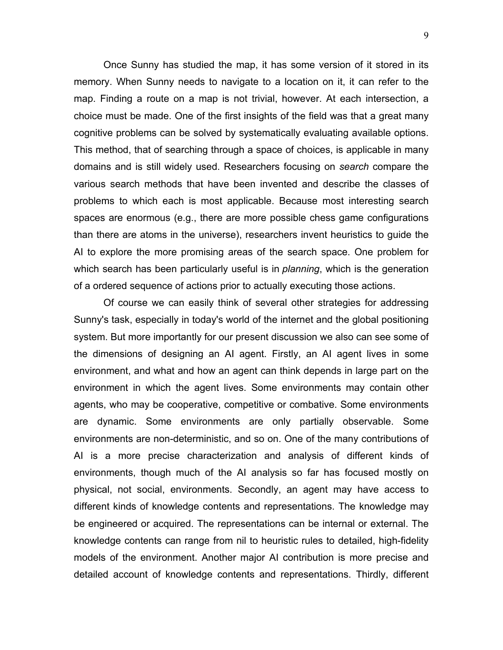Once Sunny has studied the map, it has some version of it stored in its memory. When Sunny needs to navigate to a location on it, it can refer to the map. Finding a route on a map is not trivial, however. At each intersection, a choice must be made. One of the first insights of the field was that a great many cognitive problems can be solved by systematically evaluating available options. This method, that of searching through a space of choices, is applicable in many domains and is still widely used. Researchers focusing on *search* compare the various search methods that have been invented and describe the classes of problems to which each is most applicable. Because most interesting search spaces are enormous (e.g., there are more possible chess game configurations than there are atoms in the universe), researchers invent heuristics to guide the AI to explore the more promising areas of the search space. One problem for which search has been particularly useful is in *planning*, which is the generation of a ordered sequence of actions prior to actually executing those actions.

Of course we can easily think of several other strategies for addressing Sunny's task, especially in today's world of the internet and the global positioning system. But more importantly for our present discussion we also can see some of the dimensions of designing an AI agent. Firstly, an AI agent lives in some environment, and what and how an agent can think depends in large part on the environment in which the agent lives. Some environments may contain other agents, who may be cooperative, competitive or combative. Some environments are dynamic. Some environments are only partially observable. Some environments are non-deterministic, and so on. One of the many contributions of AI is a more precise characterization and analysis of different kinds of environments, though much of the AI analysis so far has focused mostly on physical, not social, environments. Secondly, an agent may have access to different kinds of knowledge contents and representations. The knowledge may be engineered or acquired. The representations can be internal or external. The knowledge contents can range from nil to heuristic rules to detailed, high-fidelity models of the environment. Another major AI contribution is more precise and detailed account of knowledge contents and representations. Thirdly, different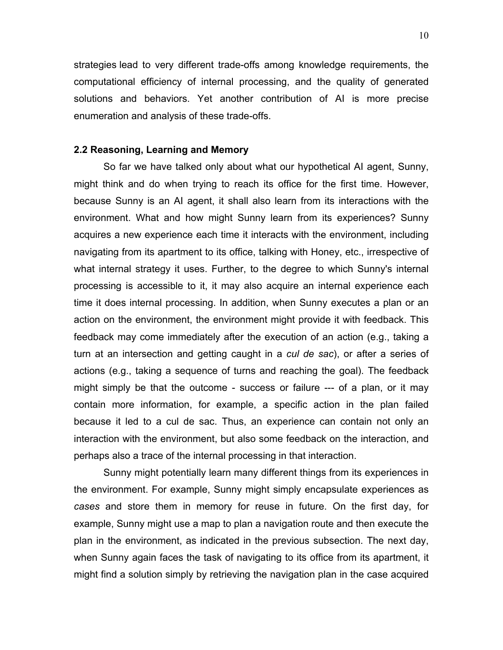strategies lead to very different trade-offs among knowledge requirements, the computational efficiency of internal processing, and the quality of generated solutions and behaviors. Yet another contribution of AI is more precise enumeration and analysis of these trade-offs.

## **2.2 Reasoning, Learning and Memory**

So far we have talked only about what our hypothetical AI agent, Sunny, might think and do when trying to reach its office for the first time. However, because Sunny is an AI agent, it shall also learn from its interactions with the environment. What and how might Sunny learn from its experiences? Sunny acquires a new experience each time it interacts with the environment, including navigating from its apartment to its office, talking with Honey, etc., irrespective of what internal strategy it uses. Further, to the degree to which Sunny's internal processing is accessible to it, it may also acquire an internal experience each time it does internal processing. In addition, when Sunny executes a plan or an action on the environment, the environment might provide it with feedback. This feedback may come immediately after the execution of an action (e.g., taking a turn at an intersection and getting caught in a *cul de sac*), or after a series of actions (e.g., taking a sequence of turns and reaching the goal). The feedback might simply be that the outcome - success or failure --- of a plan, or it may contain more information, for example, a specific action in the plan failed because it led to a cul de sac. Thus, an experience can contain not only an interaction with the environment, but also some feedback on the interaction, and perhaps also a trace of the internal processing in that interaction.

Sunny might potentially learn many different things from its experiences in the environment. For example, Sunny might simply encapsulate experiences as *cases* and store them in memory for reuse in future. On the first day, for example, Sunny might use a map to plan a navigation route and then execute the plan in the environment, as indicated in the previous subsection. The next day, when Sunny again faces the task of navigating to its office from its apartment, it might find a solution simply by retrieving the navigation plan in the case acquired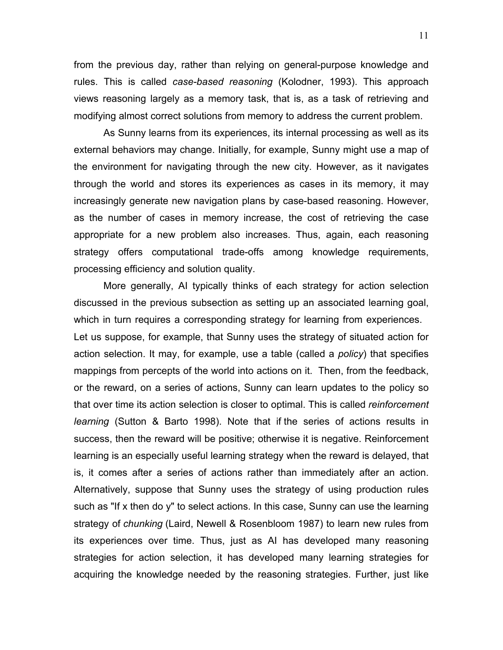from the previous day, rather than relying on general-purpose knowledge and rules. This is called *case-based reasoning* (Kolodner, 1993). This approach views reasoning largely as a memory task, that is, as a task of retrieving and modifying almost correct solutions from memory to address the current problem.

As Sunny learns from its experiences, its internal processing as well as its external behaviors may change. Initially, for example, Sunny might use a map of the environment for navigating through the new city. However, as it navigates through the world and stores its experiences as cases in its memory, it may increasingly generate new navigation plans by case-based reasoning. However, as the number of cases in memory increase, the cost of retrieving the case appropriate for a new problem also increases. Thus, again, each reasoning strategy offers computational trade-offs among knowledge requirements, processing efficiency and solution quality.

More generally, AI typically thinks of each strategy for action selection discussed in the previous subsection as setting up an associated learning goal, which in turn requires a corresponding strategy for learning from experiences. Let us suppose, for example, that Sunny uses the strategy of situated action for action selection. It may, for example, use a table (called a *policy*) that specifies mappings from percepts of the world into actions on it. Then, from the feedback, or the reward, on a series of actions, Sunny can learn updates to the policy so that over time its action selection is closer to optimal. This is called *reinforcement learning* (Sutton & Barto 1998). Note that if the series of actions results in success, then the reward will be positive; otherwise it is negative. Reinforcement learning is an especially useful learning strategy when the reward is delayed, that is, it comes after a series of actions rather than immediately after an action. Alternatively, suppose that Sunny uses the strategy of using production rules such as "If x then do y" to select actions. In this case, Sunny can use the learning strategy of *chunking* (Laird, Newell & Rosenbloom 1987) to learn new rules from its experiences over time. Thus, just as AI has developed many reasoning strategies for action selection, it has developed many learning strategies for acquiring the knowledge needed by the reasoning strategies. Further, just like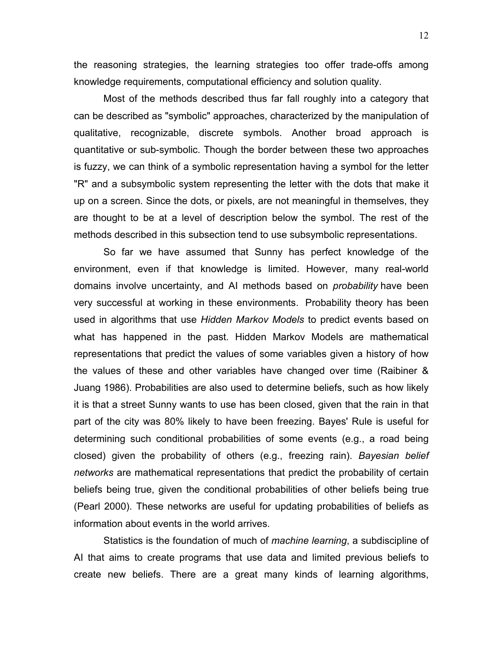the reasoning strategies, the learning strategies too offer trade-offs among knowledge requirements, computational efficiency and solution quality.

Most of the methods described thus far fall roughly into a category that can be described as "symbolic" approaches, characterized by the manipulation of qualitative, recognizable, discrete symbols. Another broad approach is quantitative or sub-symbolic. Though the border between these two approaches is fuzzy, we can think of a symbolic representation having a symbol for the letter "R" and a subsymbolic system representing the letter with the dots that make it up on a screen. Since the dots, or pixels, are not meaningful in themselves, they are thought to be at a level of description below the symbol. The rest of the methods described in this subsection tend to use subsymbolic representations.

So far we have assumed that Sunny has perfect knowledge of the environment, even if that knowledge is limited. However, many real-world domains involve uncertainty, and AI methods based on *probability* have been very successful at working in these environments. Probability theory has been used in algorithms that use *Hidden Markov Models* to predict events based on what has happened in the past. Hidden Markov Models are mathematical representations that predict the values of some variables given a history of how the values of these and other variables have changed over time (Raibiner & Juang 1986). Probabilities are also used to determine beliefs, such as how likely it is that a street Sunny wants to use has been closed, given that the rain in that part of the city was 80% likely to have been freezing. Bayes' Rule is useful for determining such conditional probabilities of some events (e.g., a road being closed) given the probability of others (e.g., freezing rain). *Bayesian belief networks* are mathematical representations that predict the probability of certain beliefs being true, given the conditional probabilities of other beliefs being true (Pearl 2000). These networks are useful for updating probabilities of beliefs as information about events in the world arrives.

Statistics is the foundation of much of *machine learning*, a subdiscipline of AI that aims to create programs that use data and limited previous beliefs to create new beliefs. There are a great many kinds of learning algorithms,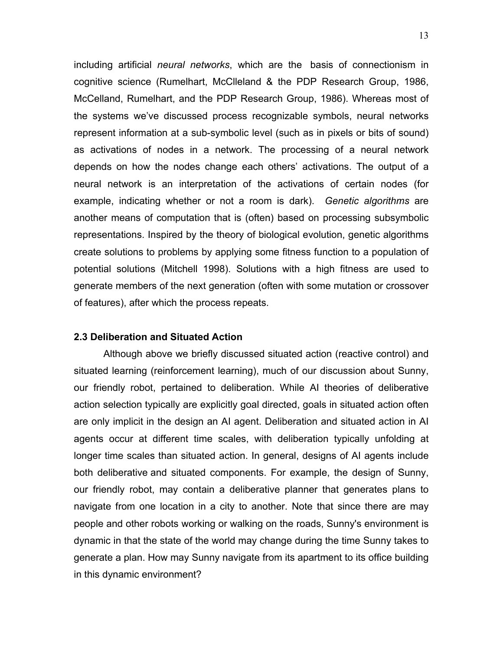including artificial *neural networks*, which are the basis of connectionism in cognitive science (Rumelhart, McClleland & the PDP Research Group, 1986, McCelland, Rumelhart, and the PDP Research Group, 1986). Whereas most of the systems we've discussed process recognizable symbols, neural networks represent information at a sub-symbolic level (such as in pixels or bits of sound) as activations of nodes in a network. The processing of a neural network depends on how the nodes change each others' activations. The output of a neural network is an interpretation of the activations of certain nodes (for example, indicating whether or not a room is dark). *Genetic algorithms* are another means of computation that is (often) based on processing subsymbolic representations. Inspired by the theory of biological evolution, genetic algorithms create solutions to problems by applying some fitness function to a population of potential solutions (Mitchell 1998). Solutions with a high fitness are used to generate members of the next generation (often with some mutation or crossover of features), after which the process repeats.

#### **2.3 Deliberation and Situated Action**

Although above we briefly discussed situated action (reactive control) and situated learning (reinforcement learning), much of our discussion about Sunny, our friendly robot, pertained to deliberation. While AI theories of deliberative action selection typically are explicitly goal directed, goals in situated action often are only implicit in the design an AI agent. Deliberation and situated action in AI agents occur at different time scales, with deliberation typically unfolding at longer time scales than situated action. In general, designs of AI agents include both deliberative and situated components. For example, the design of Sunny, our friendly robot, may contain a deliberative planner that generates plans to navigate from one location in a city to another. Note that since there are may people and other robots working or walking on the roads, Sunny's environment is dynamic in that the state of the world may change during the time Sunny takes to generate a plan. How may Sunny navigate from its apartment to its office building in this dynamic environment?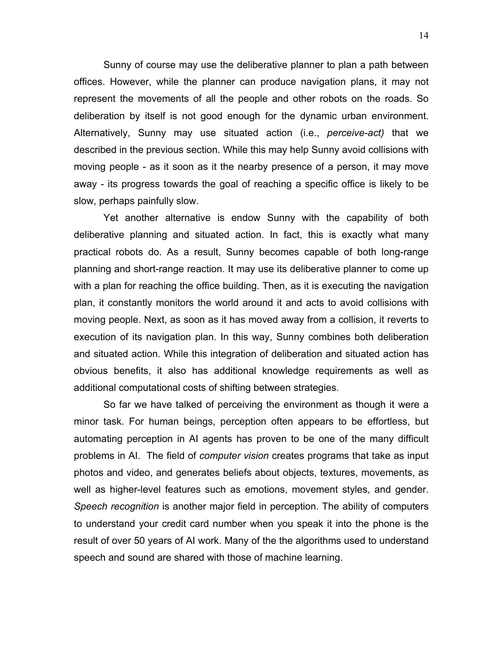Sunny of course may use the deliberative planner to plan a path between offices. However, while the planner can produce navigation plans, it may not represent the movements of all the people and other robots on the roads. So deliberation by itself is not good enough for the dynamic urban environment. Alternatively, Sunny may use situated action (i.e., *perceive-act)* that we described in the previous section. While this may help Sunny avoid collisions with moving people - as it soon as it the nearby presence of a person, it may move away - its progress towards the goal of reaching a specific office is likely to be slow, perhaps painfully slow.

Yet another alternative is endow Sunny with the capability of both deliberative planning and situated action. In fact, this is exactly what many practical robots do. As a result, Sunny becomes capable of both long-range planning and short-range reaction. It may use its deliberative planner to come up with a plan for reaching the office building. Then, as it is executing the navigation plan, it constantly monitors the world around it and acts to avoid collisions with moving people. Next, as soon as it has moved away from a collision, it reverts to execution of its navigation plan. In this way, Sunny combines both deliberation and situated action. While this integration of deliberation and situated action has obvious benefits, it also has additional knowledge requirements as well as additional computational costs of shifting between strategies.

So far we have talked of perceiving the environment as though it were a minor task. For human beings, perception often appears to be effortless, but automating perception in AI agents has proven to be one of the many difficult problems in AI. The field of *computer vision* creates programs that take as input photos and video, and generates beliefs about objects, textures, movements, as well as higher-level features such as emotions, movement styles, and gender. *Speech recognition* is another major field in perception. The ability of computers to understand your credit card number when you speak it into the phone is the result of over 50 years of AI work. Many of the the algorithms used to understand speech and sound are shared with those of machine learning.

14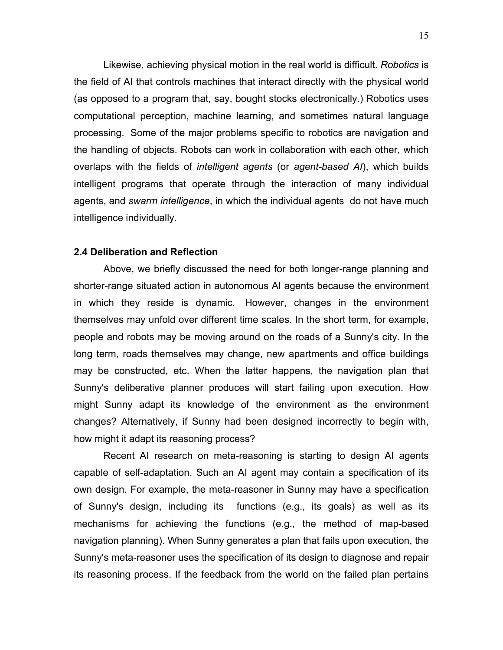Likewise, achieving physical motion in the real world is difficult. *Robotics* is the field of AI that controls machines that interact directly with the physical world (as opposed to a program that, say, bought stocks electronically.) Robotics uses computational perception, machine learning, and sometimes natural language processing. Some of the major problems specific to robotics are navigation and the handling of objects. Robots can work in collaboration with each other, which overlaps with the fields of *intelligent agents* (or *agent-based AI*), which builds intelligent programs that operate through the interaction of many individual agents, and *swarm intelligence*, in which the individual agents do not have much intelligence individually.

#### **2.4 Deliberation and Reflection**

Above, we briefly discussed the need for both longer-range planning and shorter-range situated action in autonomous AI agents because the environment in which they reside is dynamic. However, changes in the environment themselves may unfold over different time scales. In the short term, for example, people and robots may be moving around on the roads of a Sunny's city. In the long term, roads themselves may change, new apartments and office buildings may be constructed, etc. When the latter happens, the navigation plan that Sunny's deliberative planner produces will start failing upon execution. How might Sunny adapt its knowledge of the environment as the environment changes? Alternatively, if Sunny had been designed incorrectly to begin with, how might it adapt its reasoning process?

Recent AI research on meta-reasoning is starting to design AI agents capable of self-adaptation. Such an AI agent may contain a specification of its own design. For example, the meta-reasoner in Sunny may have a specification of Sunny's design, including its functions (e.g., its goals) as well as its mechanisms for achieving the functions (e.g., the method of map-based navigation planning). When Sunny generates a plan that fails upon execution, the Sunny's meta-reasoner uses the specification of its design to diagnose and repair its reasoning process. If the feedback from the world on the failed plan pertains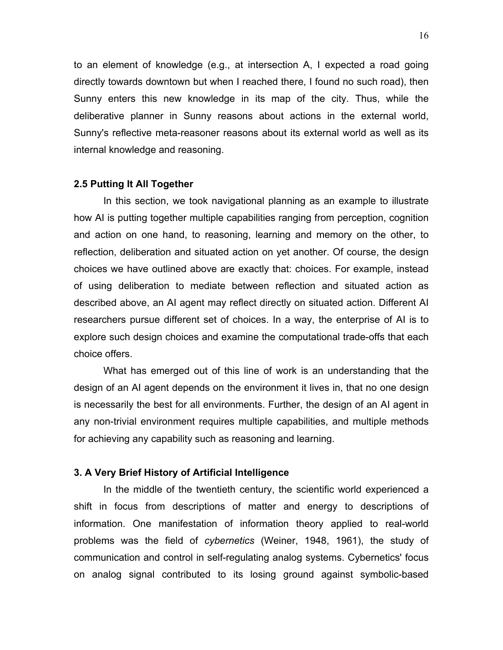to an element of knowledge (e.g., at intersection A, I expected a road going directly towards downtown but when I reached there, I found no such road), then Sunny enters this new knowledge in its map of the city. Thus, while the deliberative planner in Sunny reasons about actions in the external world, Sunny's reflective meta-reasoner reasons about its external world as well as its internal knowledge and reasoning.

### **2.5 Putting It All Together**

In this section, we took navigational planning as an example to illustrate how AI is putting together multiple capabilities ranging from perception, cognition and action on one hand, to reasoning, learning and memory on the other, to reflection, deliberation and situated action on yet another. Of course, the design choices we have outlined above are exactly that: choices. For example, instead of using deliberation to mediate between reflection and situated action as described above, an AI agent may reflect directly on situated action. Different AI researchers pursue different set of choices. In a way, the enterprise of AI is to explore such design choices and examine the computational trade-offs that each choice offers.

What has emerged out of this line of work is an understanding that the design of an AI agent depends on the environment it lives in, that no one design is necessarily the best for all environments. Further, the design of an AI agent in any non-trivial environment requires multiple capabilities, and multiple methods for achieving any capability such as reasoning and learning.

### **3. A Very Brief History of Artificial Intelligence**

In the middle of the twentieth century, the scientific world experienced a shift in focus from descriptions of matter and energy to descriptions of information. One manifestation of information theory applied to real-world problems was the field of *cybernetics* (Weiner, 1948, 1961), the study of communication and control in self-regulating analog systems. Cybernetics' focus on analog signal contributed to its losing ground against symbolic-based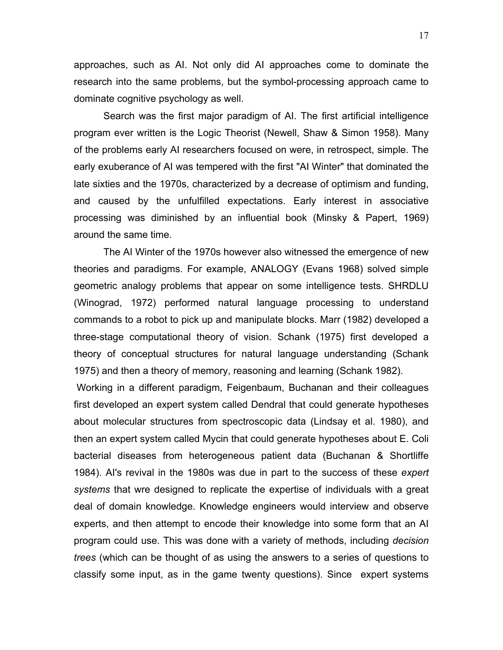approaches, such as AI. Not only did AI approaches come to dominate the research into the same problems, but the symbol-processing approach came to dominate cognitive psychology as well.

Search was the first major paradigm of AI. The first artificial intelligence program ever written is the Logic Theorist (Newell, Shaw & Simon 1958). Many of the problems early AI researchers focused on were, in retrospect, simple. The early exuberance of AI was tempered with the first "AI Winter" that dominated the late sixties and the 1970s, characterized by a decrease of optimism and funding, and caused by the unfulfilled expectations. Early interest in associative processing was diminished by an influential book (Minsky & Papert, 1969) around the same time.

The AI Winter of the 1970s however also witnessed the emergence of new theories and paradigms. For example, ANALOGY (Evans 1968) solved simple geometric analogy problems that appear on some intelligence tests. SHRDLU (Winograd, 1972) performed natural language processing to understand commands to a robot to pick up and manipulate blocks. Marr (1982) developed a three-stage computational theory of vision. Schank (1975) first developed a theory of conceptual structures for natural language understanding (Schank 1975) and then a theory of memory, reasoning and learning (Schank 1982).

Working in a different paradigm, Feigenbaum, Buchanan and their colleagues first developed an expert system called Dendral that could generate hypotheses about molecular structures from spectroscopic data (Lindsay et al. 1980), and then an expert system called Mycin that could generate hypotheses about E. Coli bacterial diseases from heterogeneous patient data (Buchanan & Shortliffe 1984). AI's revival in the 1980s was due in part to the success of these *expert systems* that wre designed to replicate the expertise of individuals with a great deal of domain knowledge. Knowledge engineers would interview and observe experts, and then attempt to encode their knowledge into some form that an AI program could use. This was done with a variety of methods, including *decision trees* (which can be thought of as using the answers to a series of questions to classify some input, as in the game twenty questions). Since expert systems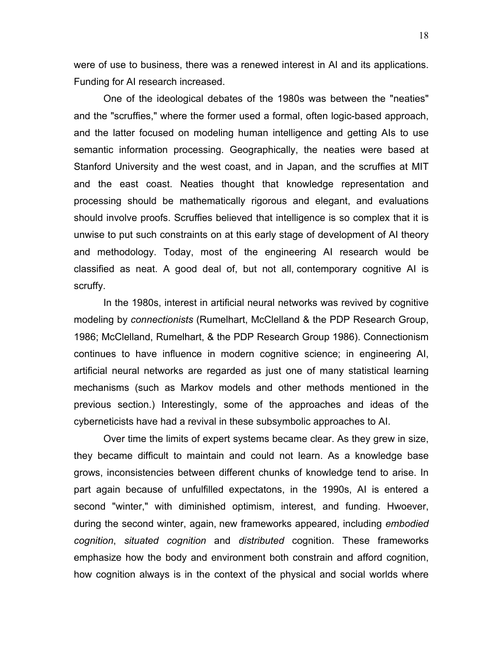were of use to business, there was a renewed interest in AI and its applications. Funding for AI research increased.

One of the ideological debates of the 1980s was between the "neaties" and the "scruffies," where the former used a formal, often logic-based approach, and the latter focused on modeling human intelligence and getting AIs to use semantic information processing. Geographically, the neaties were based at Stanford University and the west coast, and in Japan, and the scruffies at MIT and the east coast. Neaties thought that knowledge representation and processing should be mathematically rigorous and elegant, and evaluations should involve proofs. Scruffies believed that intelligence is so complex that it is unwise to put such constraints on at this early stage of development of AI theory and methodology. Today, most of the engineering AI research would be classified as neat. A good deal of, but not all, contemporary cognitive AI is scruffy.

In the 1980s, interest in artificial neural networks was revived by cognitive modeling by *connectionists* (Rumelhart, McClelland & the PDP Research Group, 1986; McClelland, Rumelhart, & the PDP Research Group 1986). Connectionism continues to have influence in modern cognitive science; in engineering AI, artificial neural networks are regarded as just one of many statistical learning mechanisms (such as Markov models and other methods mentioned in the previous section.) Interestingly, some of the approaches and ideas of the cyberneticists have had a revival in these subsymbolic approaches to AI.

Over time the limits of expert systems became clear. As they grew in size, they became difficult to maintain and could not learn. As a knowledge base grows, inconsistencies between different chunks of knowledge tend to arise. In part again because of unfulfilled expectatons, in the 1990s, AI is entered a second "winter," with diminished optimism, interest, and funding. Hwoever, during the second winter, again, new frameworks appeared, including *embodied cognition*, *situated cognition* and *distributed* cognition. These frameworks emphasize how the body and environment both constrain and afford cognition, how cognition always is in the context of the physical and social worlds where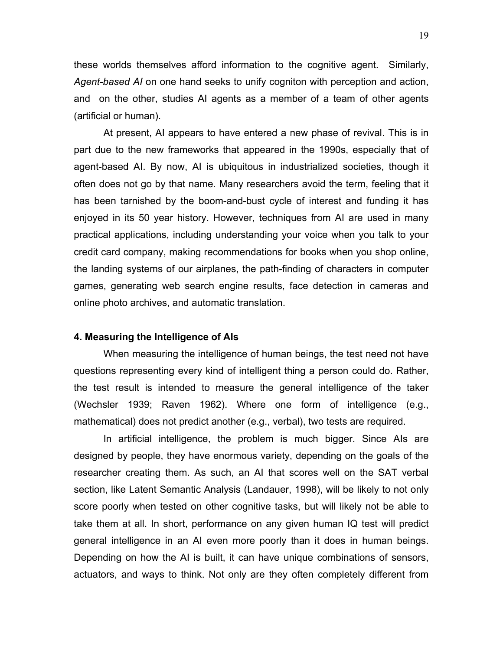these worlds themselves afford information to the cognitive agent. Similarly, *Agent-based AI* on one hand seeks to unify cogniton with perception and action, and on the other, studies AI agents as a member of a team of other agents (artificial or human).

At present, AI appears to have entered a new phase of revival. This is in part due to the new frameworks that appeared in the 1990s, especially that of agent-based AI. By now, AI is ubiquitous in industrialized societies, though it often does not go by that name. Many researchers avoid the term, feeling that it has been tarnished by the boom-and-bust cycle of interest and funding it has enjoyed in its 50 year history. However, techniques from AI are used in many practical applications, including understanding your voice when you talk to your credit card company, making recommendations for books when you shop online, the landing systems of our airplanes, the path-finding of characters in computer games, generating web search engine results, face detection in cameras and online photo archives, and automatic translation.

#### **4. Measuring the Intelligence of AIs**

When measuring the intelligence of human beings, the test need not have questions representing every kind of intelligent thing a person could do. Rather, the test result is intended to measure the general intelligence of the taker (Wechsler 1939; Raven 1962). Where one form of intelligence (e.g., mathematical) does not predict another (e.g., verbal), two tests are required.

In artificial intelligence, the problem is much bigger. Since AIs are designed by people, they have enormous variety, depending on the goals of the researcher creating them. As such, an AI that scores well on the SAT verbal section, like Latent Semantic Analysis (Landauer, 1998), will be likely to not only score poorly when tested on other cognitive tasks, but will likely not be able to take them at all. In short, performance on any given human IQ test will predict general intelligence in an AI even more poorly than it does in human beings. Depending on how the AI is built, it can have unique combinations of sensors, actuators, and ways to think. Not only are they often completely different from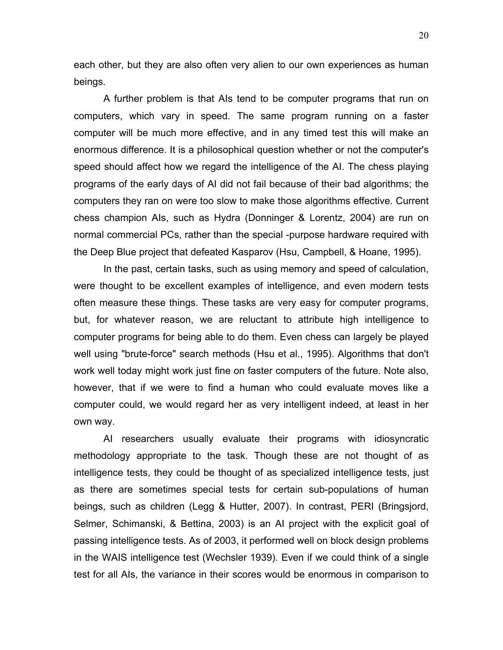each other, but they are also often very alien to our own experiences as human beings.

A further problem is that AIs tend to be computer programs that run on computers, which vary in speed. The same program running on a faster computer will be much more effective, and in any timed test this will make an enormous difference. It is a philosophical question whether or not the computer's speed should affect how we regard the intelligence of the AI. The chess playing programs of the early days of AI did not fail because of their bad algorithms; the computers they ran on were too slow to make those algorithms effective. Current chess champion AIs, such as Hydra (Donninger & Lorentz, 2004) are run on normal commercial PCs, rather than the special -purpose hardware required with the Deep Blue project that defeated Kasparov (Hsu, Campbell, & Hoane, 1995).

In the past, certain tasks, such as using memory and speed of calculation, were thought to be excellent examples of intelligence, and even modern tests often measure these things. These tasks are very easy for computer programs, but, for whatever reason, we are reluctant to attribute high intelligence to computer programs for being able to do them. Even chess can largely be played well using "brute-force" search methods (Hsu et al., 1995). Algorithms that don't work well today might work just fine on faster computers of the future. Note also, however, that if we were to find a human who could evaluate moves like a computer could, we would regard her as very intelligent indeed, at least in her own way.

AI researchers usually evaluate their programs with idiosyncratic methodology appropriate to the task. Though these are not thought of as intelligence tests, they could be thought of as specialized intelligence tests, just as there are sometimes special tests for certain sub-populations of human beings, such as children (Legg & Hutter, 2007). In contrast, PERI (Bringsjord, Selmer, Schimanski, & Bettina, 2003) is an AI project with the explicit goal of passing intelligence tests. As of 2003, it performed well on block design problems in the WAIS intelligence test (Wechsler 1939). Even if we could think of a single test for all AIs, the variance in their scores would be enormous in comparison to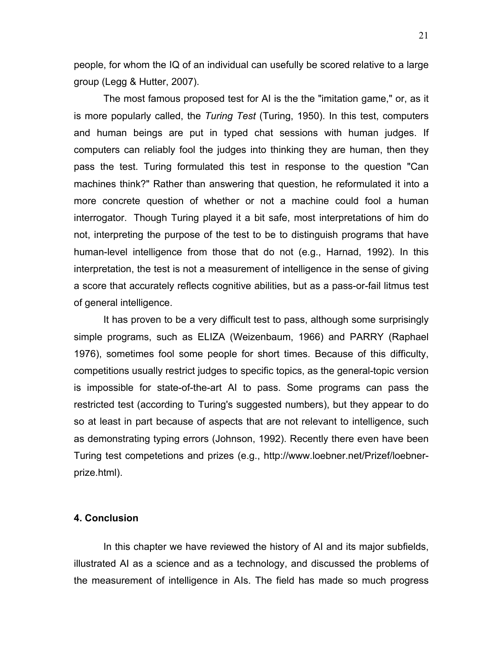people, for whom the IQ of an individual can usefully be scored relative to a large group (Legg & Hutter, 2007).

The most famous proposed test for AI is the the "imitation game," or, as it is more popularly called, the *Turing Test* (Turing, 1950). In this test, computers and human beings are put in typed chat sessions with human judges. If computers can reliably fool the judges into thinking they are human, then they pass the test. Turing formulated this test in response to the question "Can machines think?" Rather than answering that question, he reformulated it into a more concrete question of whether or not a machine could fool a human interrogator. Though Turing played it a bit safe, most interpretations of him do not, interpreting the purpose of the test to be to distinguish programs that have human-level intelligence from those that do not (e.g., Harnad, 1992). In this interpretation, the test is not a measurement of intelligence in the sense of giving a score that accurately reflects cognitive abilities, but as a pass-or-fail litmus test of general intelligence.

It has proven to be a very difficult test to pass, although some surprisingly simple programs, such as ELIZA (Weizenbaum, 1966) and PARRY (Raphael 1976), sometimes fool some people for short times. Because of this difficulty, competitions usually restrict judges to specific topics, as the general-topic version is impossible for state-of-the-art AI to pass. Some programs can pass the restricted test (according to Turing's suggested numbers), but they appear to do so at least in part because of aspects that are not relevant to intelligence, such as demonstrating typing errors (Johnson, 1992). Recently there even have been Turing test competetions and prizes (e.g., http://www.loebner.net/Prizef/loebnerprize.html).

#### **4. Conclusion**

In this chapter we have reviewed the history of AI and its major subfields, illustrated AI as a science and as a technology, and discussed the problems of the measurement of intelligence in AIs. The field has made so much progress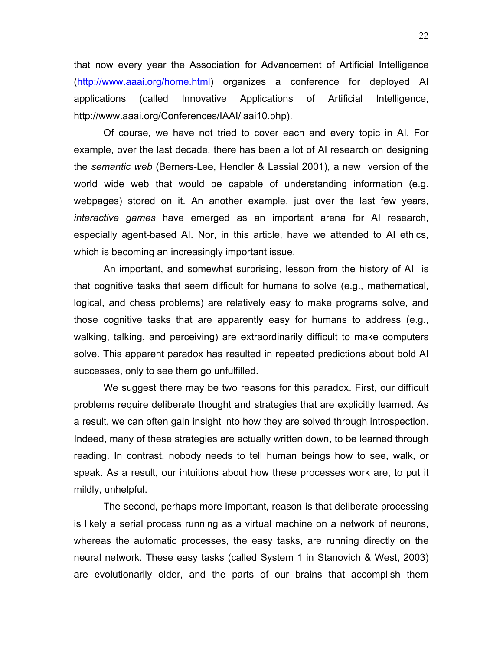that now every year the Association for Advancement of Artificial Intelligence (http://www.aaai.org/home.html) organizes a conference for deployed AI applications (called Innovative Applications of Artificial Intelligence, http://www.aaai.org/Conferences/IAAI/iaai10.php).

Of course, we have not tried to cover each and every topic in AI. For example, over the last decade, there has been a lot of AI research on designing the *semantic web* (Berners-Lee, Hendler & Lassial 2001), a new version of the world wide web that would be capable of understanding information (e.g. webpages) stored on it. An another example, just over the last few years, *interactive games* have emerged as an important arena for AI research, especially agent-based AI. Nor, in this article, have we attended to AI ethics, which is becoming an increasingly important issue.

An important, and somewhat surprising, lesson from the history of AI is that cognitive tasks that seem difficult for humans to solve (e.g., mathematical, logical, and chess problems) are relatively easy to make programs solve, and those cognitive tasks that are apparently easy for humans to address (e.g., walking, talking, and perceiving) are extraordinarily difficult to make computers solve. This apparent paradox has resulted in repeated predictions about bold AI successes, only to see them go unfulfilled.

We suggest there may be two reasons for this paradox. First, our difficult problems require deliberate thought and strategies that are explicitly learned. As a result, we can often gain insight into how they are solved through introspection. Indeed, many of these strategies are actually written down, to be learned through reading. In contrast, nobody needs to tell human beings how to see, walk, or speak. As a result, our intuitions about how these processes work are, to put it mildly, unhelpful.

The second, perhaps more important, reason is that deliberate processing is likely a serial process running as a virtual machine on a network of neurons, whereas the automatic processes, the easy tasks, are running directly on the neural network. These easy tasks (called System 1 in Stanovich & West, 2003) are evolutionarily older, and the parts of our brains that accomplish them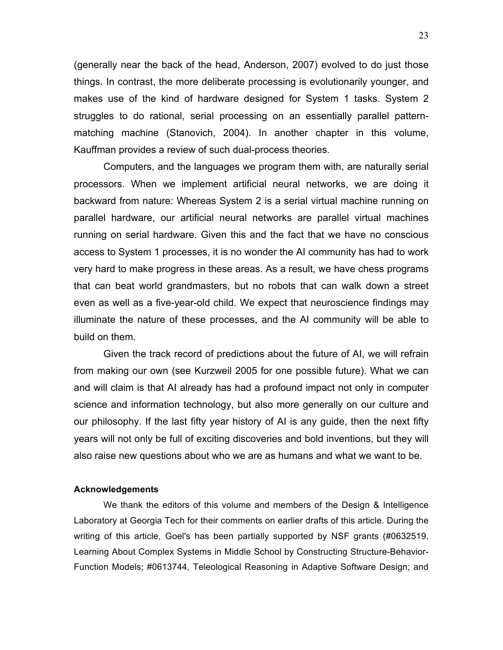(generally near the back of the head, Anderson, 2007) evolved to do just those things. In contrast, the more deliberate processing is evolutionarily younger, and makes use of the kind of hardware designed for System 1 tasks. System 2 struggles to do rational, serial processing on an essentially parallel patternmatching machine (Stanovich, 2004). In another chapter in this volume, Kauffman provides a review of such dual-process theories.

Computers, and the languages we program them with, are naturally serial processors. When we implement artificial neural networks, we are doing it backward from nature: Whereas System 2 is a serial virtual machine running on parallel hardware, our artificial neural networks are parallel virtual machines running on serial hardware. Given this and the fact that we have no conscious access to System 1 processes, it is no wonder the AI community has had to work very hard to make progress in these areas. As a result, we have chess programs that can beat world grandmasters, but no robots that can walk down a street even as well as a five-year-old child. We expect that neuroscience findings may illuminate the nature of these processes, and the AI community will be able to build on them.

Given the track record of predictions about the future of AI, we will refrain from making our own (see Kurzweil 2005 for one possible future). What we can and will claim is that AI already has had a profound impact not only in computer science and information technology, but also more generally on our culture and our philosophy. If the last fifty year history of AI is any guide, then the next fifty years will not only be full of exciting discoveries and bold inventions, but they will also raise new questions about who we are as humans and what we want to be.

#### **Acknowledgements**

We thank the editors of this volume and members of the Design & Intelligence Laboratory at Georgia Tech for their comments on earlier drafts of this article. During the writing of this article, Goel's has been partially supported by NSF grants (#0632519, Learning About Complex Systems in Middle School by Constructing Structure-Behavior-Function Models; #0613744, Teleological Reasoning in Adaptive Software Design; and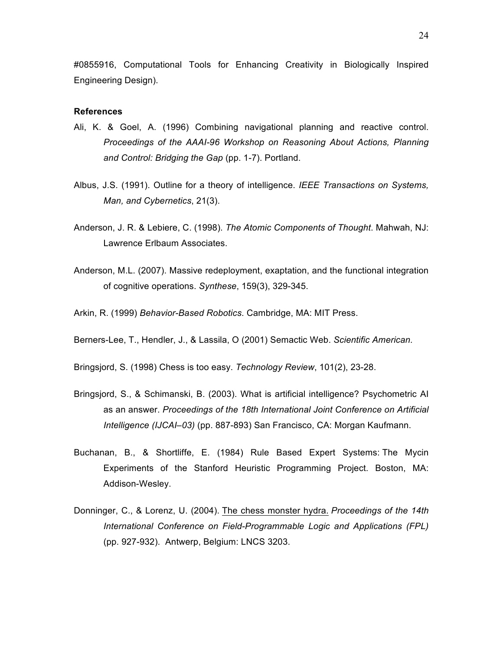#0855916, Computational Tools for Enhancing Creativity in Biologically Inspired Engineering Design).

#### **References**

- Ali, K. & Goel, A. (1996) Combining navigational planning and reactive control. *Proceedings of the AAAI-96 Workshop on Reasoning About Actions, Planning and Control: Bridging the Gap* (pp. 1-7). Portland.
- Albus, J.S. (1991). Outline for a theory of intelligence. *IEEE Transactions on Systems, Man, and Cybernetics*, 21(3).
- Anderson, J. R. & Lebiere, C. (1998). *The Atomic Components of Thought*. Mahwah, NJ: Lawrence Erlbaum Associates.
- Anderson, M.L. (2007). Massive redeployment, exaptation, and the functional integration of cognitive operations. *Synthese*, 159(3), 329-345.
- Arkin, R. (1999) *Behavior-Based Robotics*. Cambridge, MA: MIT Press.
- Berners-Lee, T., Hendler, J., & Lassila, O (2001) Semactic Web. *Scientific American.*
- Bringsjord, S. (1998) Chess is too easy. *Technology Review*, 101(2), 23-28.
- Bringsjord, S., & Schimanski, B. (2003). What is artificial intelligence? Psychometric AI as an answer. *Proceedings of the 18th International Joint Conference on Artificial Intelligence (IJCAI–03)* (pp. 887-893) San Francisco, CA: Morgan Kaufmann.
- Buchanan, B., & Shortliffe, E. (1984) Rule Based Expert Systems: The Mycin Experiments of the Stanford Heuristic Programming Project. Boston, MA: Addison-Wesley.
- Donninger, C., & Lorenz, U. (2004). The chess monster hydra. *Proceedings of the 14th International Conference on Field-Programmable Logic and Applications (FPL)* (pp. 927-932). Antwerp, Belgium: LNCS 3203.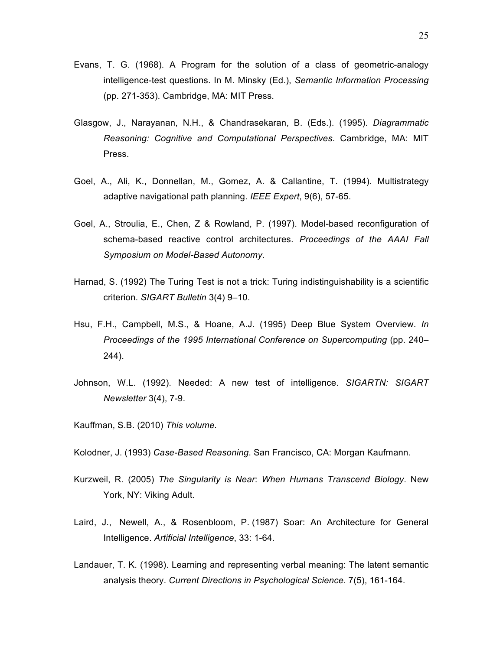- Evans, T. G. (1968). A Program for the solution of a class of geometric-analogy intelligence-test questions. In M. Minsky (Ed.), *Semantic Information Processing* (pp. 271-353). Cambridge, MA: MIT Press.
- Glasgow, J., Narayanan, N.H., & Chandrasekaran, B. (Eds.). (1995). *Diagrammatic Reasoning: Cognitive and Computational Perspectives*. Cambridge, MA: MIT Press.
- Goel, A., Ali, K., Donnellan, M., Gomez, A. & Callantine, T. (1994). Multistrategy adaptive navigational path planning. *IEEE Expert*, 9(6), 57-65.
- Goel, A., Stroulia, E., Chen, Z & Rowland, P. (1997). Model-based reconfiguration of schema-based reactive control architectures. *Proceedings of the AAAI Fall Symposium on Model-Based Autonomy*.
- Harnad, S. (1992) The Turing Test is not a trick: Turing indistinguishability is a scientific criterion. *SIGART Bulletin* 3(4) 9–10.
- Hsu, F.H., Campbell, M.S., & Hoane, A.J. (1995) Deep Blue System Overview. *In Proceedings of the 1995 International Conference on Supercomputing* (pp. 240– 244).
- Johnson, W.L. (1992). Needed: A new test of intelligence. *SIGARTN: SIGART Newsletter* 3(4), 7-9.
- Kauffman, S.B. (2010) *This volume.*

Kolodner, J. (1993) *Case-Based Reasoning*. San Francisco, CA: Morgan Kaufmann.

- Kurzweil, R. (2005) *The Singularity is Near*: *When Humans Transcend Biology*. New York, NY: Viking Adult.
- Laird, J., Newell, A., & Rosenbloom, P. (1987) Soar: An Architecture for General Intelligence. *Artificial Intelligence*, 33: 1-64.
- Landauer, T. K. (1998). Learning and representing verbal meaning: The latent semantic analysis theory. *Current Directions in Psychological Science*. 7(5), 161-164.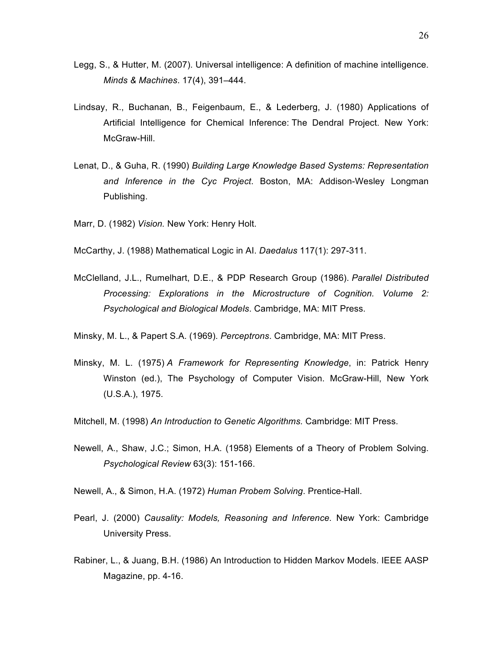- Legg, S., & Hutter, M. (2007). Universal intelligence: A definition of machine intelligence. *Minds & Machines*. 17(4), 391–444.
- Lindsay, R., Buchanan, B., Feigenbaum, E., & Lederberg, J. (1980) Applications of Artificial Intelligence for Chemical Inference: The Dendral Project. New York: McGraw-Hill.
- Lenat, D., & Guha, R. (1990) *Building Large Knowledge Based Systems: Representation and Inference in the Cyc Project*. Boston, MA: Addison-Wesley Longman Publishing.
- Marr, D. (1982) *Vision.* New York: Henry Holt.
- McCarthy, J. (1988) Mathematical Logic in AI. *Daedalus* 117(1): 297-311.
- McClelland, J.L., Rumelhart, D.E., & PDP Research Group (1986). *Parallel Distributed Processing: Explorations in the Microstructure of Cognition. Volume 2: Psychological and Biological Models*. Cambridge, MA: MIT Press.
- Minsky, M. L., & Papert S.A. (1969). *Perceptrons*. Cambridge, MA: MIT Press.
- Minsky, M. L. (1975) *A Framework for Representing Knowledge*, in: Patrick Henry Winston (ed.), The Psychology of Computer Vision. McGraw-Hill, New York (U.S.A.), 1975.
- Mitchell, M. (1998) *An Introduction to Genetic Algorithms.* Cambridge: MIT Press.
- Newell, A., Shaw, J.C.; Simon, H.A. (1958) Elements of a Theory of Problem Solving. *Psychological Review* 63(3): 151-166.
- Newell, A., & Simon, H.A. (1972) *Human Probem Solving*. Prentice-Hall.
- Pearl, J. (2000) *Causality: Models, Reasoning and Inference.* New York: Cambridge University Press.
- Rabiner, L., & Juang, B.H. (1986) An Introduction to Hidden Markov Models. IEEE AASP Magazine, pp. 4-16.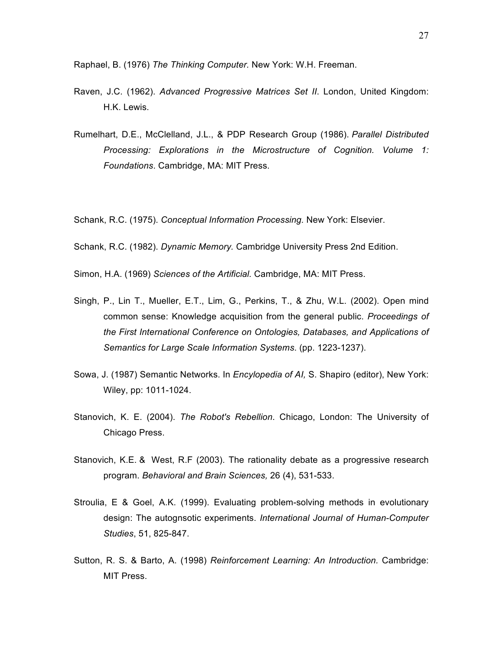Raphael, B. (1976) *The Thinking Computer.* New York: W.H. Freeman.

- Raven, J.C. (1962). *Advanced Progressive Matrices Set II*. London, United Kingdom: H.K. Lewis.
- Rumelhart, D.E., McClelland, J.L., & PDP Research Group (1986). *Parallel Distributed Processing: Explorations in the Microstructure of Cognition. Volume 1: Foundations*. Cambridge, MA: MIT Press.

Schank, R.C. (1975). *Conceptual Information Processing.* New York: Elsevier.

Schank, R.C. (1982). *Dynamic Memory.* Cambridge University Press 2nd Edition.

Simon, H.A. (1969) *Sciences of the Artificial.* Cambridge, MA: MIT Press.

- Singh, P., Lin T., Mueller, E.T., Lim, G., Perkins, T., & Zhu, W.L. (2002). Open mind common sense: Knowledge acquisition from the general public. *Proceedings of the First International Conference on Ontologies, Databases, and Applications of Semantics for Large Scale Information Systems*. (pp. 1223-1237).
- Sowa, J. (1987) Semantic Networks. In *Encylopedia of AI,* S. Shapiro (editor), New York: Wiley, pp: 1011-1024.
- Stanovich, K. E. (2004). *The Robot's Rebellion*. Chicago, London: The University of Chicago Press.
- Stanovich, K.E. & West, R.F (2003). The rationality debate as a progressive research program. *Behavioral and Brain Sciences,* 26 (4), 531-533.
- Stroulia, E & Goel, A.K. (1999). Evaluating problem-solving methods in evolutionary design: The autognsotic experiments. *International Journal of Human-Computer Studies*, 51, 825-847.
- Sutton, R. S. & Barto, A. (1998) *Reinforcement Learning: An Introduction.* Cambridge: MIT Press.